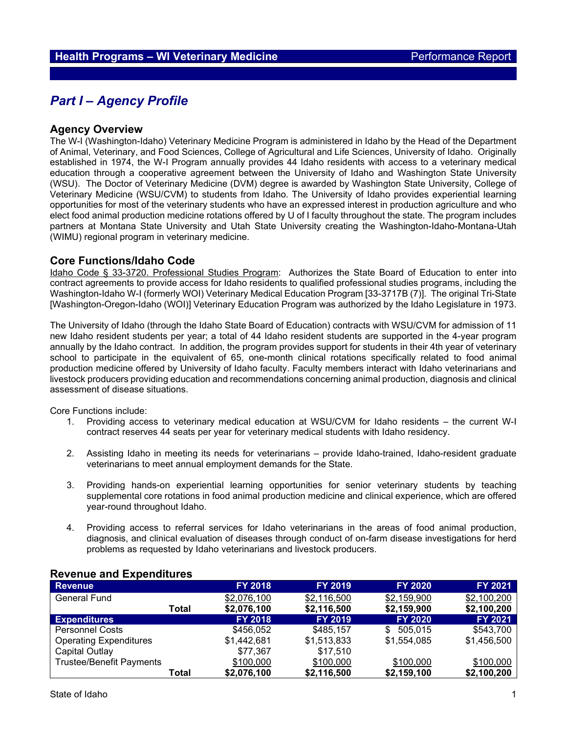# *Part I – Agency Profile*

### **Agency Overview**

The W-I (Washington-Idaho) Veterinary Medicine Program is administered in Idaho by the Head of the Department of Animal, Veterinary, and Food Sciences, College of Agricultural and Life Sciences, University of Idaho. Originally established in 1974, the W-I Program annually provides 44 Idaho residents with access to a veterinary medical education through a cooperative agreement between the University of Idaho and Washington State University (WSU). The Doctor of Veterinary Medicine (DVM) degree is awarded by Washington State University, College of Veterinary Medicine (WSU/CVM) to students from Idaho. The University of Idaho provides experiential learning opportunities for most of the veterinary students who have an expressed interest in production agriculture and who elect food animal production medicine rotations offered by U of I faculty throughout the state. The program includes partners at Montana State University and Utah State University creating the Washington-Idaho-Montana-Utah (WIMU) regional program in veterinary medicine.

### **Core Functions/Idaho Code**

Idaho Code § 33-3720. Professional Studies Program: Authorizes the State Board of Education to enter into contract agreements to provide access for Idaho residents to qualified professional studies programs, including the Washington-Idaho W-I (formerly WOI) Veterinary Medical Education Program [33-3717B (7)]. The original Tri-State [Washington-Oregon-Idaho (WOI)] Veterinary Education Program was authorized by the Idaho Legislature in 1973.

The University of Idaho (through the Idaho State Board of Education) contracts with WSU/CVM for admission of 11 new Idaho resident students per year; a total of 44 Idaho resident students are supported in the 4-year program annually by the Idaho contract. In addition, the program provides support for students in their 4th year of veterinary school to participate in the equivalent of 65, one-month clinical rotations specifically related to food animal production medicine offered by University of Idaho faculty. Faculty members interact with Idaho veterinarians and livestock producers providing education and recommendations concerning animal production, diagnosis and clinical assessment of disease situations.

Core Functions include:

- 1. Providing access to veterinary medical education at WSU/CVM for Idaho residents the current W-I contract reserves 44 seats per year for veterinary medical students with Idaho residency.
- 2. Assisting Idaho in meeting its needs for veterinarians provide Idaho-trained, Idaho-resident graduate veterinarians to meet annual employment demands for the State.
- 3. Providing hands-on experiential learning opportunities for senior veterinary students by teaching supplemental core rotations in food animal production medicine and clinical experience, which are offered year-round throughout Idaho.
- 4. Providing access to referral services for Idaho veterinarians in the areas of food animal production, diagnosis, and clinical evaluation of diseases through conduct of on-farm disease investigations for herd problems as requested by Idaho veterinarians and livestock producers.

| <b>Revenue</b>                  | <b>FY 2018</b> | <b>FY 2019</b> | <b>FY 2020</b> | FY 2021     |
|---------------------------------|----------------|----------------|----------------|-------------|
| <b>General Fund</b>             | \$2,076,100    | \$2,116,500    | \$2,159,900    | \$2,100,200 |
| Total                           | \$2,076,100    | \$2,116,500    | \$2,159,900    | \$2,100,200 |
| <b>Expenditures</b>             | <b>FY 2018</b> | <b>FY 2019</b> | <b>FY 2020</b> | FY 2021     |
| <b>Personnel Costs</b>          | \$456,052      | \$485.157      | 505.015<br>\$. | \$543,700   |
| <b>Operating Expenditures</b>   | \$1,442,681    | \$1,513,833    | \$1,554,085    | \$1,456,500 |
| Capital Outlay                  | \$77,367       | \$17,510       |                |             |
| <b>Trustee/Benefit Payments</b> | \$100,000      | \$100,000      | \$100,000      | \$100,000   |
| Total                           | \$2,076,100    | \$2,116,500    | \$2,159,100    | \$2,100,200 |

#### **Revenue and Expenditures**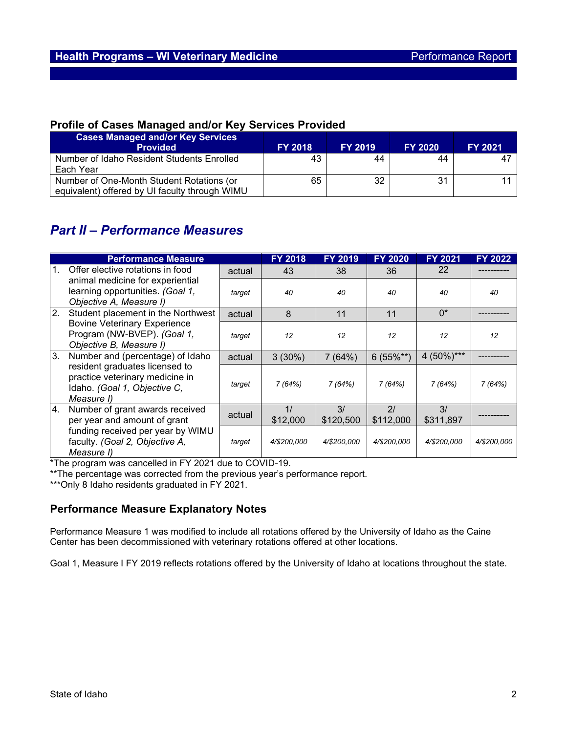## **Profile of Cases Managed and/or Key Services Provided**

| <b>Cases Managed and/or Key Services</b><br><b>Provided</b> | <b>FY 2018</b> | <b>FY 2019</b> | <b>FY 2020</b> | <b>FY 2021</b> |
|-------------------------------------------------------------|----------------|----------------|----------------|----------------|
| Number of Idaho Resident Students Enrolled                  | 43             | 44             | 44             |                |
| Each Year                                                   |                |                |                |                |
| Number of One-Month Student Rotations (or                   | 65             | 32             | 31             |                |
| equivalent) offered by UI faculty through WIMU              |                |                |                |                |

# *Part II – Performance Measures*

| <b>Performance Measure</b>                                                         |                                                                                                 | <b>FY 2018</b> | <b>FY 2019</b> | <b>FY 2020</b>  | <b>FY 2021</b>  | <b>FY 2022</b>  |             |
|------------------------------------------------------------------------------------|-------------------------------------------------------------------------------------------------|----------------|----------------|-----------------|-----------------|-----------------|-------------|
| $\mathbf{1}$ .                                                                     | Offer elective rotations in food                                                                | actual         | 43             | 38              | 36              | 22              |             |
|                                                                                    | animal medicine for experiential<br>learning opportunities. (Goal 1,<br>Objective A, Measure I) | target         | 40             | 40              | 40              | 40              | 40          |
| 2.                                                                                 | Student placement in the Northwest                                                              | actual         | 8              | 11              | 11              | $0^*$           |             |
|                                                                                    | <b>Bovine Veterinary Experience</b><br>Program (NW-BVEP). (Goal 1,<br>Objective B, Measure I)   | target         | 12             | 12              | 12              | 12              | 12          |
| 3.<br>resident graduates licensed to<br>Idaho. (Goal 1, Objective C,<br>Measure I) | Number and (percentage) of Idaho                                                                | actual         | 3(30%)         | 7(64%)          | $6(55\%^{**})$  | 4 $(50\%)***$   |             |
|                                                                                    | practice veterinary medicine in                                                                 | target         | 7 (64%)        | 7(64%)          | 7(64%)          | 7(64%)          | 7(64%)      |
| 4.                                                                                 | Number of grant awards received<br>per year and amount of grant                                 | actual         | 1/<br>\$12,000 | 3/<br>\$120,500 | 21<br>\$112,000 | 3/<br>\$311,897 |             |
|                                                                                    | funding received per year by WIMU<br>faculty. (Goal 2, Objective A,<br>Measure I)               | target         | 4/\$200.000    | 4/\$200,000     | 4/\$200,000     | 4/\$200,000     | 4/\$200.000 |

\*The program was cancelled in FY 2021 due to COVID-19.

\*\*The percentage was corrected from the previous year's performance report.

\*\*\*Only 8 Idaho residents graduated in FY 2021.

## **Performance Measure Explanatory Notes**

Performance Measure 1 was modified to include all rotations offered by the University of Idaho as the Caine Center has been decommissioned with veterinary rotations offered at other locations.

Goal 1, Measure I FY 2019 reflects rotations offered by the University of Idaho at locations throughout the state.